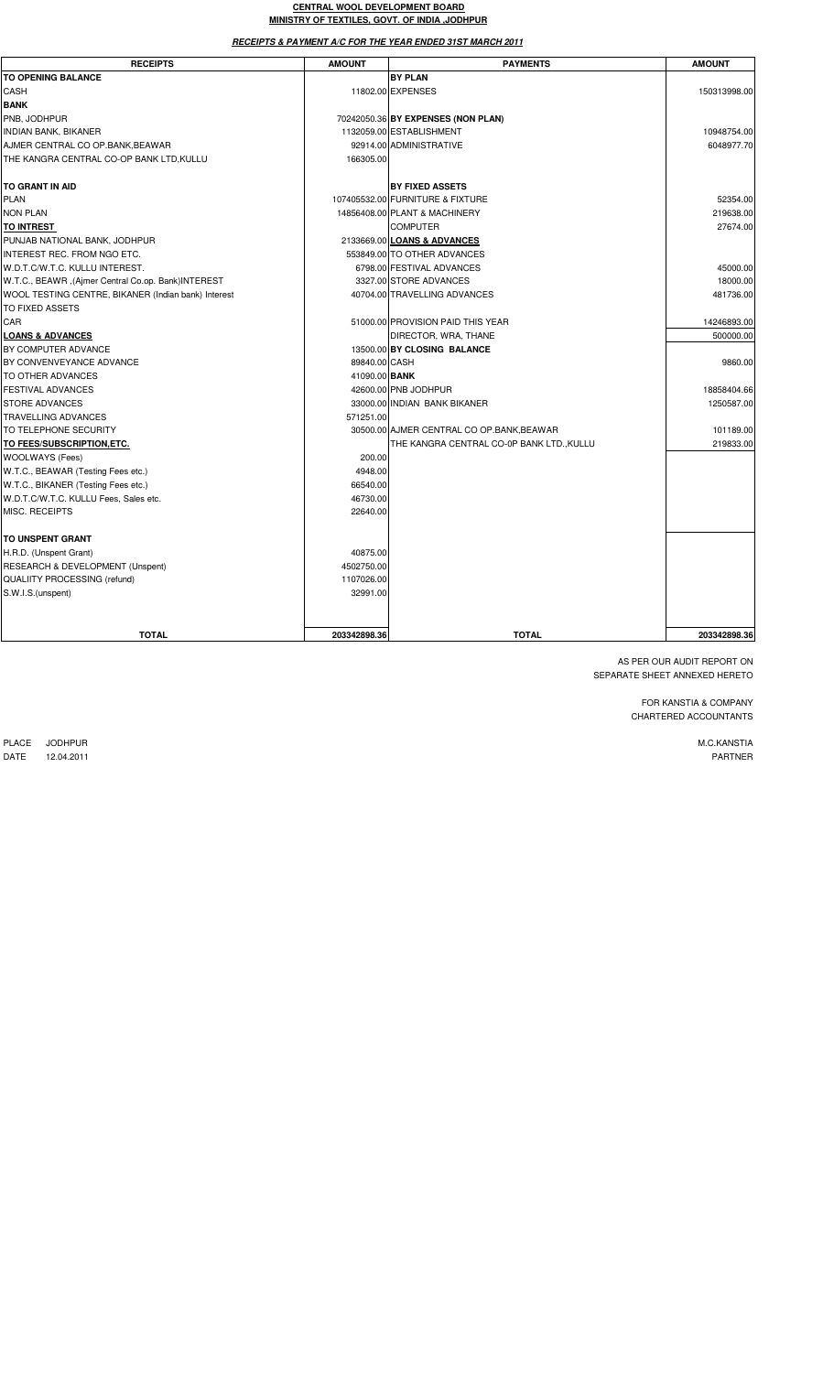#### **CENTRAL WOOL DEVELOPMENT BOARD MINISTRY OF TEXTILES, GOVT. OF INDIA ,JODHPUR**

**RECEIPTS & PAYMENT A/C FOR THE YEAR ENDED 31ST MARCH 2011**

| <b>RECEIPTS</b>                                     | <b>AMOUNT</b> | <b>PAYMENTS</b>                           | <b>AMOUNT</b> |
|-----------------------------------------------------|---------------|-------------------------------------------|---------------|
| <b>TO OPENING BALANCE</b>                           |               | <b>BY PLAN</b>                            |               |
| CASH                                                |               | 11802.00 EXPENSES                         | 150313998.00  |
| <b>BANK</b>                                         |               |                                           |               |
| PNB, JODHPUR                                        |               | 70242050.36 BY EXPENSES (NON PLAN)        |               |
| INDIAN BANK, BIKANER                                |               | 1132059.00 ESTABLISHMENT                  | 10948754.00   |
| AJMER CENTRAL CO OP.BANK, BEAWAR                    |               | 92914.00 ADMINISTRATIVE                   | 6048977.70    |
| THE KANGRA CENTRAL CO-OP BANK LTD, KULLU            | 166305.00     |                                           |               |
| TO GRANT IN AID                                     |               | <b>BY FIXED ASSETS</b>                    |               |
| <b>PLAN</b>                                         |               | 107405532.00 FURNITURE & FIXTURE          | 52354.00      |
| <b>NON PLAN</b>                                     |               | 14856408.00 PLANT & MACHINERY             | 219638.00     |
| <b>TO INTREST</b>                                   |               | <b>COMPUTER</b>                           | 27674.00      |
| PUNJAB NATIONAL BANK, JODHPUR                       |               | 2133669.00 LOANS & ADVANCES               |               |
| INTEREST REC. FROM NGO ETC.                         |               | 553849.00 TO OTHER ADVANCES               |               |
| W.D.T.C/W.T.C. KULLU INTEREST.                      |               | 6798.00 FESTIVAL ADVANCES                 | 45000.00      |
| W.T.C., BEAWR, (Ajmer Central Co.op. Bank)INTEREST  |               | 3327.00 STORE ADVANCES                    | 18000.00      |
| WOOL TESTING CENTRE, BIKANER (Indian bank) Interest |               | 40704.00 TRAVELLING ADVANCES              | 481736.00     |
| TO FIXED ASSETS                                     |               |                                           |               |
| CAR                                                 |               | 51000.00 PROVISION PAID THIS YEAR         | 14246893.00   |
| <b>LOANS &amp; ADVANCES</b>                         |               | DIRECTOR, WRA, THANE                      | 500000.00     |
| BY COMPUTER ADVANCE                                 |               | 13500.00 BY CLOSING BALANCE               |               |
| BY CONVENVEYANCE ADVANCE                            | 89840.00 CASH |                                           | 9860.00       |
| TO OTHER ADVANCES                                   | 41090.00 BANK |                                           |               |
| <b>FESTIVAL ADVANCES</b>                            |               | 42600.00 PNB JODHPUR                      | 18858404.66   |
| <b>STORE ADVANCES</b>                               |               | 33000.00 INDIAN BANK BIKANER              | 1250587.00    |
| <b>TRAVELLING ADVANCES</b>                          | 571251.00     |                                           |               |
| TO TELEPHONE SECURITY                               |               | 30500.00 AJMER CENTRAL CO OP.BANK, BEAWAR | 101189.00     |
| TO FEES/SUBSCRIPTION, ETC.                          |               | THE KANGRA CENTRAL CO-0P BANK LTD.,KULLU  | 219833.00     |
| WOOLWAYS (Fees)                                     | 200.00        |                                           |               |
| W.T.C., BEAWAR (Testing Fees etc.)                  | 4948.00       |                                           |               |
| W.T.C., BIKANER (Testing Fees etc.)                 | 66540.00      |                                           |               |
| W.D.T.C/W.T.C. KULLU Fees, Sales etc.               | 46730.00      |                                           |               |
| MISC. RECEIPTS                                      | 22640.00      |                                           |               |
| TO UNSPENT GRANT                                    |               |                                           |               |
| H.R.D. (Unspent Grant)                              | 40875.00      |                                           |               |
| RESEARCH & DEVELOPMENT (Unspent)                    | 4502750.00    |                                           |               |
| QUALIITY PROCESSING (refund)                        | 1107026.00    |                                           |               |
| S.W.I.S.(unspent)                                   | 32991.00      |                                           |               |
|                                                     |               |                                           |               |
| <b>TOTAL</b>                                        | 203342898.36  | <b>TOTAL</b>                              | 203342898.36  |

AS PER OUR AUDIT REPORT ON SEPARATE SHEET ANNEXED HERETO

> FOR KANSTIA & COMPANY CHARTERED ACCOUNTANTS

> > M.C.KANSTIA PARTNER

PLACE JODHPUR<br>DATE 12.04.2011 DATE 12.04.2011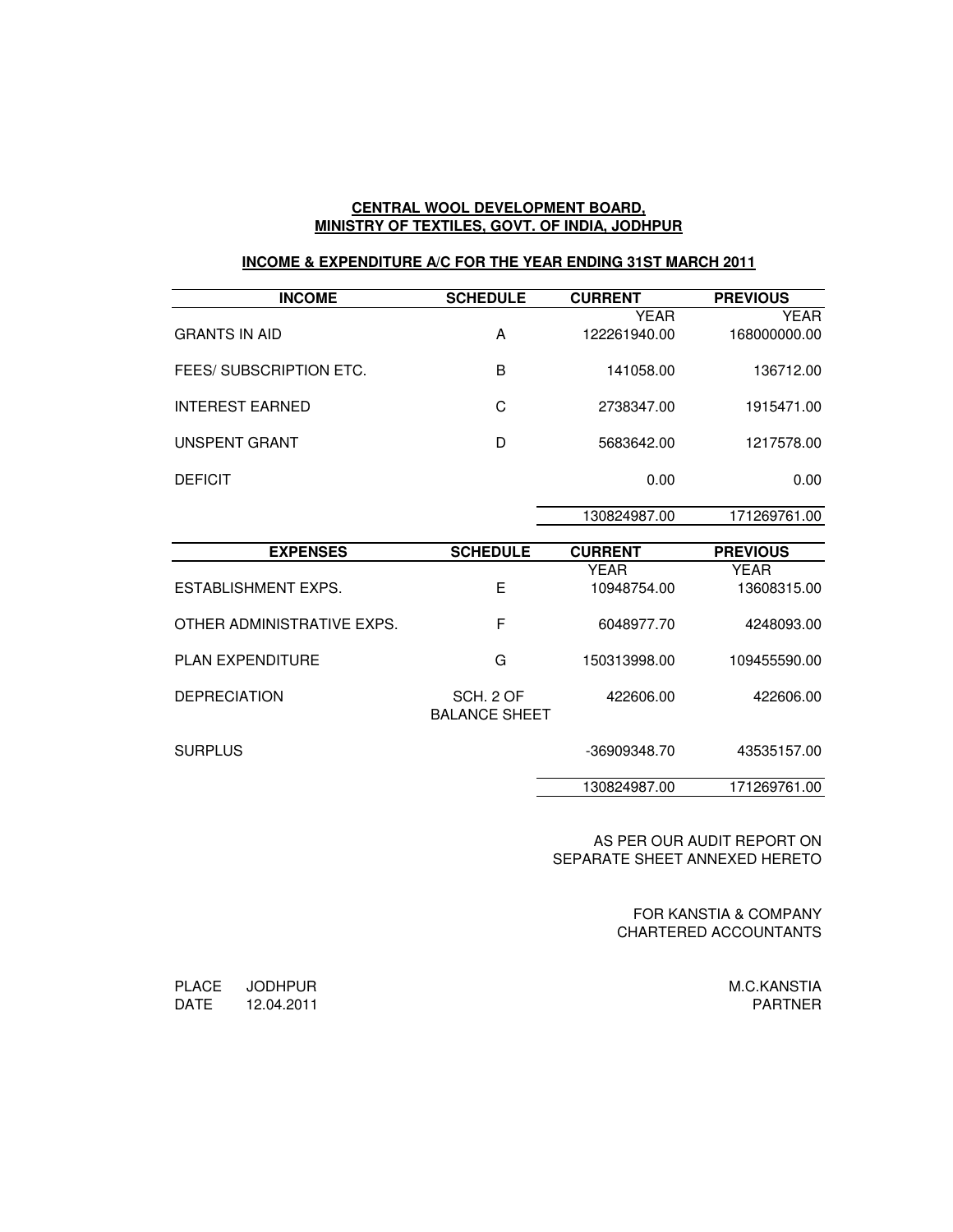#### **CENTRAL WOOL DEVELOPMENT BOARD, MINISTRY OF TEXTILES, GOVT. OF INDIA, JODHPUR**

### **INCOME & EXPENDITURE A/C FOR THE YEAR ENDING 31ST MARCH 2011**

| <b>INCOME</b>           | <b>SCHEDULE</b> | <b>CURRENT</b> | <b>PREVIOUS</b> |
|-------------------------|-----------------|----------------|-----------------|
|                         |                 | YEAR           | YEAR            |
| <b>GRANTS IN AID</b>    | A               | 122261940.00   | 168000000.00    |
| FEES/ SUBSCRIPTION ETC. | B               | 141058.00      | 136712.00       |
| <b>INTEREST EARNED</b>  | C               | 2738347.00     | 1915471.00      |
| UNSPENT GRANT           | D               | 5683642.00     | 1217578.00      |
| <b>DEFICIT</b>          |                 | 0.00           | 0.00            |
|                         |                 | 130824987.00   | 171269761.00    |

| <b>EXPENSES</b>            | <b>SCHEDULE</b>                   | <b>CURRENT</b> | <b>PREVIOUS</b> |
|----------------------------|-----------------------------------|----------------|-----------------|
|                            |                                   | YFAR           | YEAR            |
| ESTABLISHMENT EXPS.        | Е                                 | 10948754.00    | 13608315.00     |
| OTHER ADMINISTRATIVE EXPS. | F                                 | 6048977.70     | 4248093.00      |
| <b>PLAN EXPENDITURE</b>    | G                                 | 150313998.00   | 109455590.00    |
| <b>DEPRECIATION</b>        | SCH, 2 OF<br><b>BALANCE SHEET</b> | 422606.00      | 422606.00       |
| <b>SURPLUS</b>             |                                   | -36909348.70   | 43535157.00     |
|                            |                                   | 130824987.00   | 171269761.00    |

AS PER OUR AUDIT REPORT ON SEPARATE SHEET ANNEXED HERETO

> FOR KANSTIA & COMPANY CHARTERED ACCOUNTANTS

> > M.C.KANSTIA PARTNER

PLACE JODHPUR DATE 12.04.2011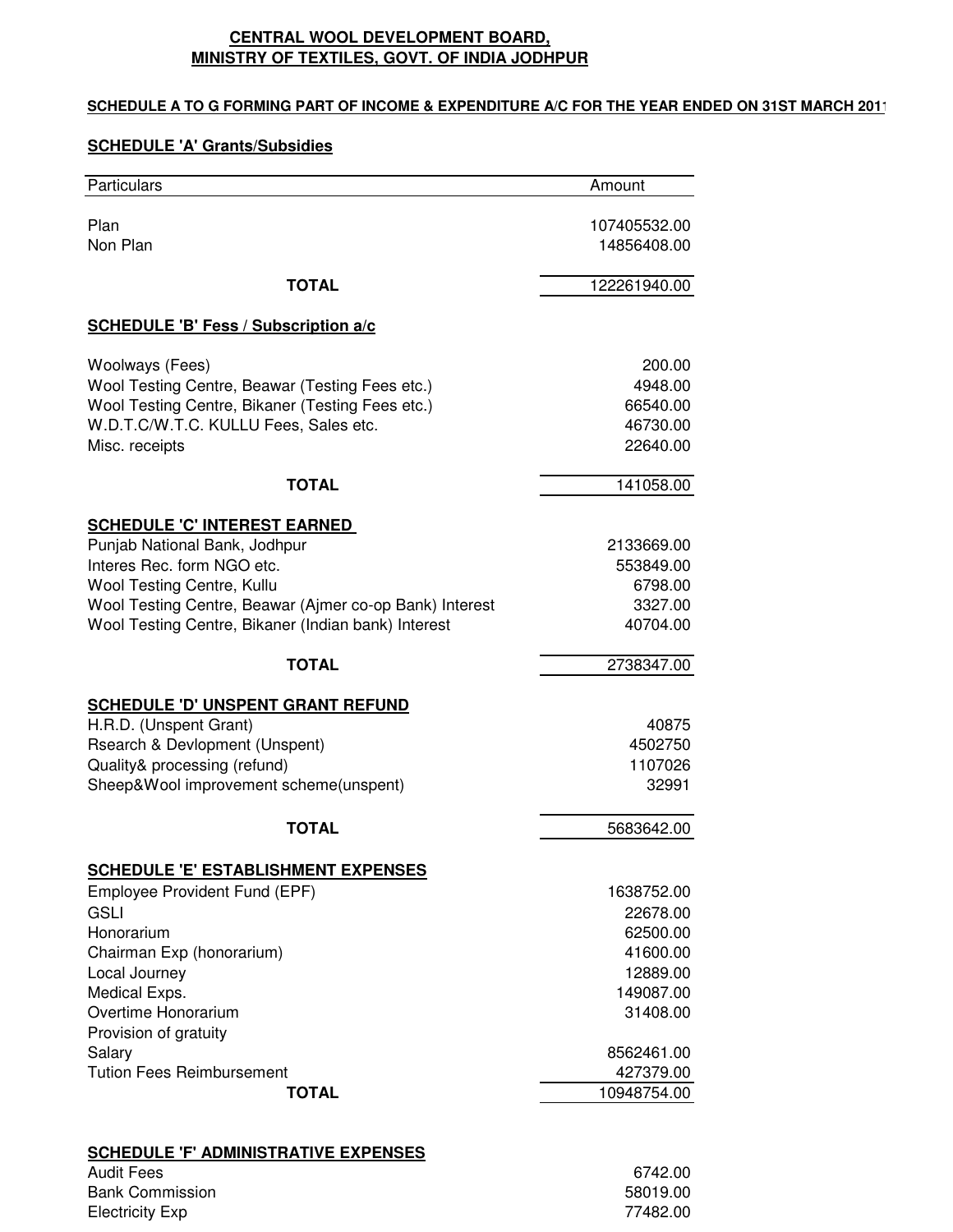## **CENTRAL WOOL DEVELOPMENT BOARD, MINISTRY OF TEXTILES, GOVT. OF INDIA JODHPUR**

## **SCHEDULE A TO G FORMING PART OF INCOME & EXPENDITURE A/C FOR THE YEAR ENDED ON 31ST MARCH 2011**

## **SCHEDULE 'A' Grants/Subsidies**

| Particulars                                             | Amount       |
|---------------------------------------------------------|--------------|
| Plan                                                    | 107405532.00 |
| Non Plan                                                | 14856408.00  |
| <b>TOTAL</b>                                            | 122261940.00 |
| <b>SCHEDULE 'B' Fess / Subscription a/c</b>             |              |
| Woolways (Fees)                                         | 200.00       |
| Wool Testing Centre, Beawar (Testing Fees etc.)         | 4948.00      |
| Wool Testing Centre, Bikaner (Testing Fees etc.)        | 66540.00     |
| W.D.T.C/W.T.C. KULLU Fees, Sales etc.                   | 46730.00     |
| Misc. receipts                                          | 22640.00     |
| <b>TOTAL</b>                                            | 141058.00    |
| <b>SCHEDULE 'C' INTEREST EARNED</b>                     |              |
| Punjab National Bank, Jodhpur                           | 2133669.00   |
| Interes Rec. form NGO etc.                              | 553849.00    |
| Wool Testing Centre, Kullu                              | 6798.00      |
| Wool Testing Centre, Beawar (Ajmer co-op Bank) Interest | 3327.00      |
| Wool Testing Centre, Bikaner (Indian bank) Interest     | 40704.00     |
| <b>TOTAL</b>                                            | 2738347.00   |
| <b>SCHEDULE 'D' UNSPENT GRANT REFUND</b>                |              |
| H.R.D. (Unspent Grant)                                  | 40875        |
| Rsearch & Devlopment (Unspent)                          | 4502750      |
| Quality& processing (refund)                            | 1107026      |
| Sheep&Wool improvement scheme(unspent)                  | 32991        |
| <b>TOTAL</b>                                            | 5683642.00   |
| <b>SCHEDULE 'E' ESTABLISHMENT EXPENSES</b>              |              |
| Employee Provident Fund (EPF)                           | 1638752.00   |
| <b>GSLI</b>                                             | 22678.00     |
| Honorarium                                              | 62500.00     |
| Chairman Exp (honorarium)                               | 41600.00     |
| Local Journey                                           | 12889.00     |
| Medical Exps.                                           | 149087.00    |
| Overtime Honorarium                                     | 31408.00     |
| Provision of gratuity                                   |              |
| Salary                                                  | 8562461.00   |
| <b>Tution Fees Reimbursement</b>                        | 427379.00    |
| <b>TOTAL</b>                                            | 10948754.00  |
|                                                         |              |
| <b>SCHEDULE 'F' ADMINISTRATIVE EXPENSES</b>             |              |

| Audit Fees      | 6742.00  |
|-----------------|----------|
| Bank Commission | 58019.00 |
| Electricity Exp | 77482.00 |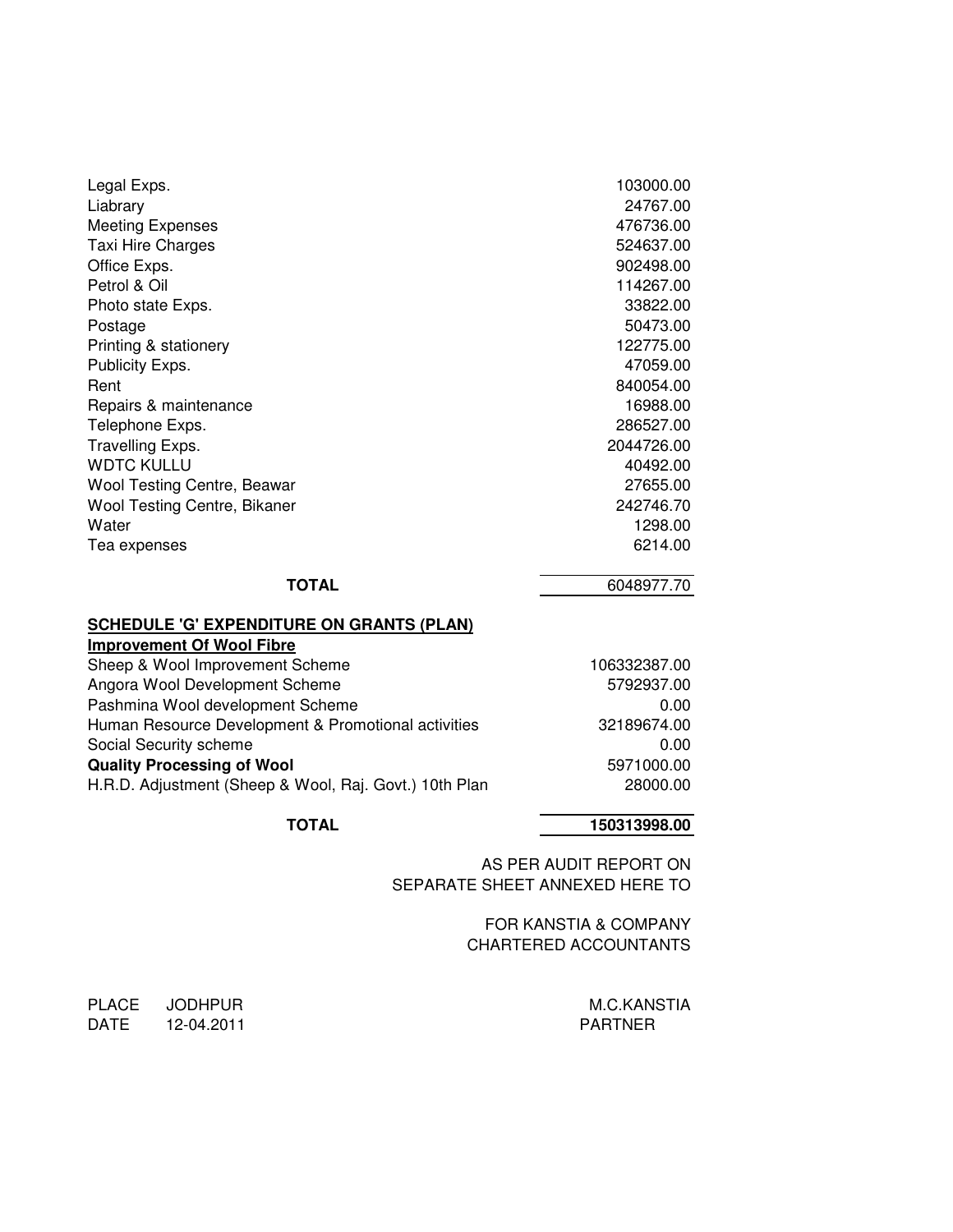| Legal Exps.                  | 103000.00  |
|------------------------------|------------|
| Liabrary                     | 24767.00   |
| <b>Meeting Expenses</b>      | 476736.00  |
| Taxi Hire Charges            | 524637.00  |
| Office Exps.                 | 902498.00  |
| Petrol & Oil                 | 114267.00  |
| Photo state Exps.            | 33822.00   |
| Postage                      | 50473.00   |
| Printing & stationery        | 122775.00  |
| Publicity Exps.              | 47059.00   |
| Rent                         | 840054.00  |
| Repairs & maintenance        | 16988.00   |
| Telephone Exps.              | 286527.00  |
| Travelling Exps.             | 2044726.00 |
| <b>WDTC KULLU</b>            | 40492.00   |
| Wool Testing Centre, Beawar  | 27655.00   |
| Wool Testing Centre, Bikaner | 242746.70  |
| Water                        | 1298.00    |
| Tea expenses                 | 6214.00    |
|                              |            |

**TOTAL** 6048977.70

#### **SCHEDULE 'G' EXPENDITURE ON GRANTS (PLAN)**

| <b>Improvement Of Wool Fibre</b>                       |              |
|--------------------------------------------------------|--------------|
| Sheep & Wool Improvement Scheme                        | 106332387.00 |
| Angora Wool Development Scheme                         | 5792937.00   |
| Pashmina Wool development Scheme                       | 0.00         |
| Human Resource Development & Promotional activities    | 32189674.00  |
| Social Security scheme                                 | 0.00         |
| <b>Quality Processing of Wool</b>                      | 5971000.00   |
| H.R.D. Adjustment (Sheep & Wool, Raj. Govt.) 10th Plan | 28000.00     |
|                                                        |              |

## **TOTAL 150313998.00**

AS PER AUDIT REPORT ON SEPARATE SHEET ANNEXED HERE TO

> FOR KANSTIA & COMPANY CHARTERED ACCOUNTANTS

PLACE JODHPUR M.C.KANSTIA DATE 12-04.2011 PARTNER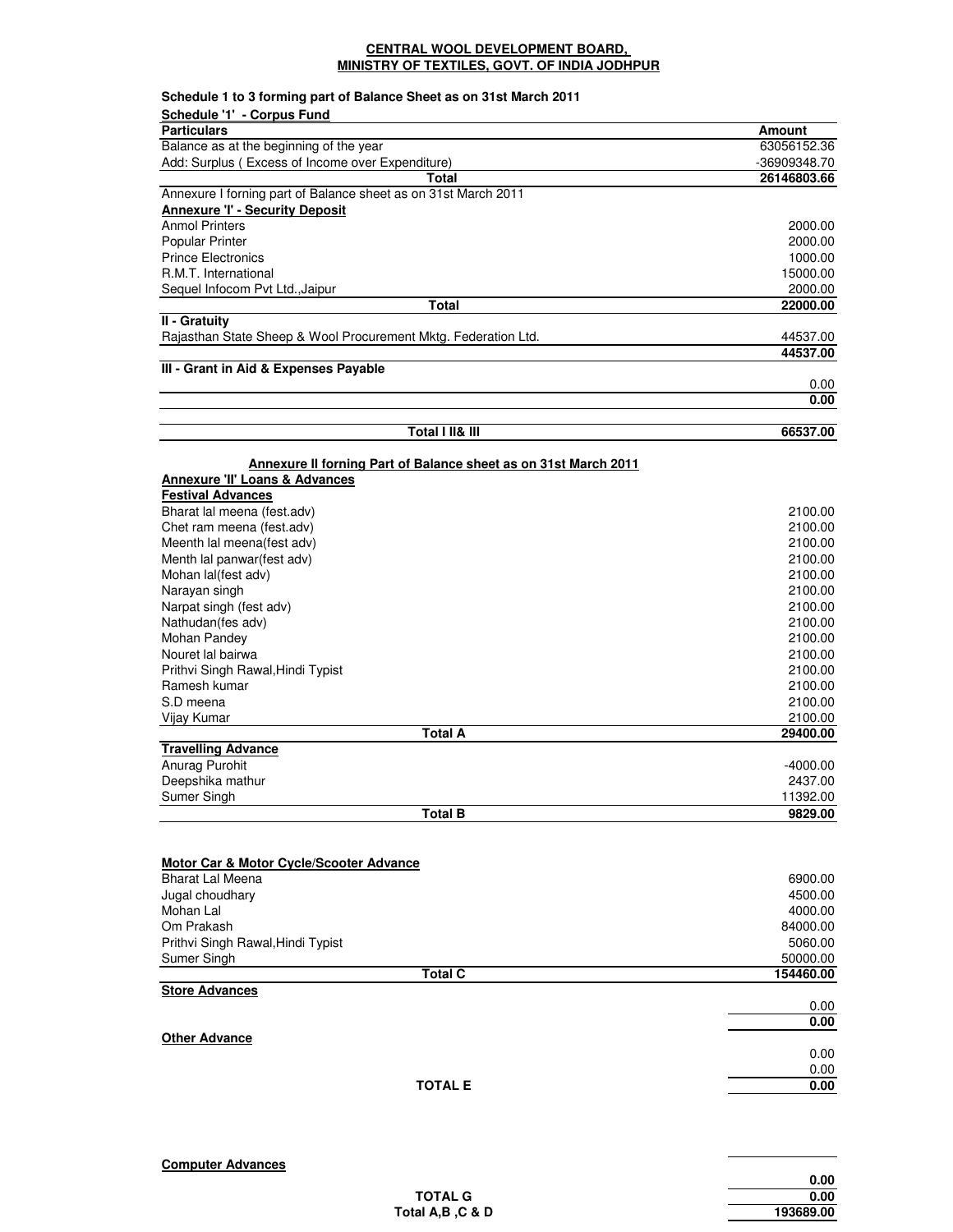#### **CENTRAL WOOL DEVELOPMENT BOARD, MINISTRY OF TEXTILES, GOVT. OF INDIA JODHPUR**

| <b>Particulars</b><br>Amount<br>Balance as at the beginning of the year<br>Add: Surplus (Excess of Income over Expenditure)<br>Total<br>Annexure I forning part of Balance sheet as on 31st March 2011<br><b>Annexure 'I' - Security Deposit</b><br><b>Anmol Printers</b><br>2000.00<br><b>Popular Printer</b><br>2000.00<br><b>Prince Electronics</b><br>1000.00<br>R.M.T. International<br>15000.00<br>Sequel Infocom Pvt Ltd., Jaipur<br>2000.00<br>Total<br>22000.00<br>II - Gratuity<br>Rajasthan State Sheep & Wool Procurement Mktg. Federation Ltd.<br>III - Grant in Aid & Expenses Payable<br>0.00<br>Total I II& III<br>66537.00<br>Annexure II forning Part of Balance sheet as on 31st March 2011<br><b>Annexure 'II' Loans &amp; Advances</b><br><b>Festival Advances</b><br>Bharat lal meena (fest.adv)<br>Chet ram meena (fest.adv)<br>Meenth lal meena(fest adv)<br>Menth lal panwar(fest adv)<br>Mohan lal(fest adv)<br>Narayan singh<br>Narpat singh (fest adv)<br>Nathudan(fes adv)<br>2100.00<br>Mohan Pandey<br>2100.00<br>Nouret lal bairwa<br>2100.00<br>Prithvi Singh Rawal, Hindi Typist<br>2100.00<br>Ramesh kumar<br>2100.00<br>2100.00<br>S.D meena<br>2100.00<br>Vijay Kumar<br><b>Total A</b><br>29400.00<br><b>Travelling Advance</b><br>Anurag Purohit<br>Deepshika mathur<br>Sumer Singh<br>Total B<br>Motor Car & Motor Cycle/Scooter Advance<br><b>Bharat Lal Meena</b><br>6900.00<br>Jugal choudhary<br>4500.00<br>Mohan Lal<br>4000.00<br>Om Prakash<br>84000.00<br>Prithvi Singh Rawal, Hindi Typist<br>5060.00<br>Sumer Singh<br>50000.00<br><b>Total C</b><br>154460.00<br><b>Store Advances</b><br>0.00<br><b>Other Advance</b><br><b>TOTAL E</b> | Schedule 1 to 3 forming part of Balance Sheet as on 31st March 2011<br>Schedule '1' - Corpus Fund |              |
|---------------------------------------------------------------------------------------------------------------------------------------------------------------------------------------------------------------------------------------------------------------------------------------------------------------------------------------------------------------------------------------------------------------------------------------------------------------------------------------------------------------------------------------------------------------------------------------------------------------------------------------------------------------------------------------------------------------------------------------------------------------------------------------------------------------------------------------------------------------------------------------------------------------------------------------------------------------------------------------------------------------------------------------------------------------------------------------------------------------------------------------------------------------------------------------------------------------------------------------------------------------------------------------------------------------------------------------------------------------------------------------------------------------------------------------------------------------------------------------------------------------------------------------------------------------------------------------------------------------------------------------------------------------------------------------------|---------------------------------------------------------------------------------------------------|--------------|
|                                                                                                                                                                                                                                                                                                                                                                                                                                                                                                                                                                                                                                                                                                                                                                                                                                                                                                                                                                                                                                                                                                                                                                                                                                                                                                                                                                                                                                                                                                                                                                                                                                                                                             |                                                                                                   |              |
|                                                                                                                                                                                                                                                                                                                                                                                                                                                                                                                                                                                                                                                                                                                                                                                                                                                                                                                                                                                                                                                                                                                                                                                                                                                                                                                                                                                                                                                                                                                                                                                                                                                                                             |                                                                                                   | 63056152.36  |
|                                                                                                                                                                                                                                                                                                                                                                                                                                                                                                                                                                                                                                                                                                                                                                                                                                                                                                                                                                                                                                                                                                                                                                                                                                                                                                                                                                                                                                                                                                                                                                                                                                                                                             |                                                                                                   | -36909348.70 |
|                                                                                                                                                                                                                                                                                                                                                                                                                                                                                                                                                                                                                                                                                                                                                                                                                                                                                                                                                                                                                                                                                                                                                                                                                                                                                                                                                                                                                                                                                                                                                                                                                                                                                             |                                                                                                   | 26146803.66  |
|                                                                                                                                                                                                                                                                                                                                                                                                                                                                                                                                                                                                                                                                                                                                                                                                                                                                                                                                                                                                                                                                                                                                                                                                                                                                                                                                                                                                                                                                                                                                                                                                                                                                                             |                                                                                                   |              |
|                                                                                                                                                                                                                                                                                                                                                                                                                                                                                                                                                                                                                                                                                                                                                                                                                                                                                                                                                                                                                                                                                                                                                                                                                                                                                                                                                                                                                                                                                                                                                                                                                                                                                             |                                                                                                   |              |
|                                                                                                                                                                                                                                                                                                                                                                                                                                                                                                                                                                                                                                                                                                                                                                                                                                                                                                                                                                                                                                                                                                                                                                                                                                                                                                                                                                                                                                                                                                                                                                                                                                                                                             |                                                                                                   |              |
|                                                                                                                                                                                                                                                                                                                                                                                                                                                                                                                                                                                                                                                                                                                                                                                                                                                                                                                                                                                                                                                                                                                                                                                                                                                                                                                                                                                                                                                                                                                                                                                                                                                                                             |                                                                                                   |              |
|                                                                                                                                                                                                                                                                                                                                                                                                                                                                                                                                                                                                                                                                                                                                                                                                                                                                                                                                                                                                                                                                                                                                                                                                                                                                                                                                                                                                                                                                                                                                                                                                                                                                                             |                                                                                                   |              |
|                                                                                                                                                                                                                                                                                                                                                                                                                                                                                                                                                                                                                                                                                                                                                                                                                                                                                                                                                                                                                                                                                                                                                                                                                                                                                                                                                                                                                                                                                                                                                                                                                                                                                             |                                                                                                   |              |
|                                                                                                                                                                                                                                                                                                                                                                                                                                                                                                                                                                                                                                                                                                                                                                                                                                                                                                                                                                                                                                                                                                                                                                                                                                                                                                                                                                                                                                                                                                                                                                                                                                                                                             |                                                                                                   |              |
|                                                                                                                                                                                                                                                                                                                                                                                                                                                                                                                                                                                                                                                                                                                                                                                                                                                                                                                                                                                                                                                                                                                                                                                                                                                                                                                                                                                                                                                                                                                                                                                                                                                                                             |                                                                                                   |              |
|                                                                                                                                                                                                                                                                                                                                                                                                                                                                                                                                                                                                                                                                                                                                                                                                                                                                                                                                                                                                                                                                                                                                                                                                                                                                                                                                                                                                                                                                                                                                                                                                                                                                                             |                                                                                                   | 44537.00     |
|                                                                                                                                                                                                                                                                                                                                                                                                                                                                                                                                                                                                                                                                                                                                                                                                                                                                                                                                                                                                                                                                                                                                                                                                                                                                                                                                                                                                                                                                                                                                                                                                                                                                                             |                                                                                                   | 44537.00     |
|                                                                                                                                                                                                                                                                                                                                                                                                                                                                                                                                                                                                                                                                                                                                                                                                                                                                                                                                                                                                                                                                                                                                                                                                                                                                                                                                                                                                                                                                                                                                                                                                                                                                                             |                                                                                                   |              |
|                                                                                                                                                                                                                                                                                                                                                                                                                                                                                                                                                                                                                                                                                                                                                                                                                                                                                                                                                                                                                                                                                                                                                                                                                                                                                                                                                                                                                                                                                                                                                                                                                                                                                             |                                                                                                   | 0.00         |
|                                                                                                                                                                                                                                                                                                                                                                                                                                                                                                                                                                                                                                                                                                                                                                                                                                                                                                                                                                                                                                                                                                                                                                                                                                                                                                                                                                                                                                                                                                                                                                                                                                                                                             |                                                                                                   |              |
|                                                                                                                                                                                                                                                                                                                                                                                                                                                                                                                                                                                                                                                                                                                                                                                                                                                                                                                                                                                                                                                                                                                                                                                                                                                                                                                                                                                                                                                                                                                                                                                                                                                                                             |                                                                                                   |              |
|                                                                                                                                                                                                                                                                                                                                                                                                                                                                                                                                                                                                                                                                                                                                                                                                                                                                                                                                                                                                                                                                                                                                                                                                                                                                                                                                                                                                                                                                                                                                                                                                                                                                                             |                                                                                                   |              |
|                                                                                                                                                                                                                                                                                                                                                                                                                                                                                                                                                                                                                                                                                                                                                                                                                                                                                                                                                                                                                                                                                                                                                                                                                                                                                                                                                                                                                                                                                                                                                                                                                                                                                             |                                                                                                   |              |
|                                                                                                                                                                                                                                                                                                                                                                                                                                                                                                                                                                                                                                                                                                                                                                                                                                                                                                                                                                                                                                                                                                                                                                                                                                                                                                                                                                                                                                                                                                                                                                                                                                                                                             |                                                                                                   |              |
|                                                                                                                                                                                                                                                                                                                                                                                                                                                                                                                                                                                                                                                                                                                                                                                                                                                                                                                                                                                                                                                                                                                                                                                                                                                                                                                                                                                                                                                                                                                                                                                                                                                                                             |                                                                                                   |              |
|                                                                                                                                                                                                                                                                                                                                                                                                                                                                                                                                                                                                                                                                                                                                                                                                                                                                                                                                                                                                                                                                                                                                                                                                                                                                                                                                                                                                                                                                                                                                                                                                                                                                                             |                                                                                                   | 2100.00      |
|                                                                                                                                                                                                                                                                                                                                                                                                                                                                                                                                                                                                                                                                                                                                                                                                                                                                                                                                                                                                                                                                                                                                                                                                                                                                                                                                                                                                                                                                                                                                                                                                                                                                                             |                                                                                                   | 2100.00      |
|                                                                                                                                                                                                                                                                                                                                                                                                                                                                                                                                                                                                                                                                                                                                                                                                                                                                                                                                                                                                                                                                                                                                                                                                                                                                                                                                                                                                                                                                                                                                                                                                                                                                                             |                                                                                                   | 2100.00      |
|                                                                                                                                                                                                                                                                                                                                                                                                                                                                                                                                                                                                                                                                                                                                                                                                                                                                                                                                                                                                                                                                                                                                                                                                                                                                                                                                                                                                                                                                                                                                                                                                                                                                                             |                                                                                                   | 2100.00      |
|                                                                                                                                                                                                                                                                                                                                                                                                                                                                                                                                                                                                                                                                                                                                                                                                                                                                                                                                                                                                                                                                                                                                                                                                                                                                                                                                                                                                                                                                                                                                                                                                                                                                                             |                                                                                                   | 2100.00      |
|                                                                                                                                                                                                                                                                                                                                                                                                                                                                                                                                                                                                                                                                                                                                                                                                                                                                                                                                                                                                                                                                                                                                                                                                                                                                                                                                                                                                                                                                                                                                                                                                                                                                                             |                                                                                                   | 2100.00      |
|                                                                                                                                                                                                                                                                                                                                                                                                                                                                                                                                                                                                                                                                                                                                                                                                                                                                                                                                                                                                                                                                                                                                                                                                                                                                                                                                                                                                                                                                                                                                                                                                                                                                                             |                                                                                                   | 2100.00      |
|                                                                                                                                                                                                                                                                                                                                                                                                                                                                                                                                                                                                                                                                                                                                                                                                                                                                                                                                                                                                                                                                                                                                                                                                                                                                                                                                                                                                                                                                                                                                                                                                                                                                                             |                                                                                                   |              |
|                                                                                                                                                                                                                                                                                                                                                                                                                                                                                                                                                                                                                                                                                                                                                                                                                                                                                                                                                                                                                                                                                                                                                                                                                                                                                                                                                                                                                                                                                                                                                                                                                                                                                             |                                                                                                   |              |
|                                                                                                                                                                                                                                                                                                                                                                                                                                                                                                                                                                                                                                                                                                                                                                                                                                                                                                                                                                                                                                                                                                                                                                                                                                                                                                                                                                                                                                                                                                                                                                                                                                                                                             |                                                                                                   |              |
|                                                                                                                                                                                                                                                                                                                                                                                                                                                                                                                                                                                                                                                                                                                                                                                                                                                                                                                                                                                                                                                                                                                                                                                                                                                                                                                                                                                                                                                                                                                                                                                                                                                                                             |                                                                                                   |              |
|                                                                                                                                                                                                                                                                                                                                                                                                                                                                                                                                                                                                                                                                                                                                                                                                                                                                                                                                                                                                                                                                                                                                                                                                                                                                                                                                                                                                                                                                                                                                                                                                                                                                                             |                                                                                                   |              |
|                                                                                                                                                                                                                                                                                                                                                                                                                                                                                                                                                                                                                                                                                                                                                                                                                                                                                                                                                                                                                                                                                                                                                                                                                                                                                                                                                                                                                                                                                                                                                                                                                                                                                             |                                                                                                   |              |
|                                                                                                                                                                                                                                                                                                                                                                                                                                                                                                                                                                                                                                                                                                                                                                                                                                                                                                                                                                                                                                                                                                                                                                                                                                                                                                                                                                                                                                                                                                                                                                                                                                                                                             |                                                                                                   |              |
|                                                                                                                                                                                                                                                                                                                                                                                                                                                                                                                                                                                                                                                                                                                                                                                                                                                                                                                                                                                                                                                                                                                                                                                                                                                                                                                                                                                                                                                                                                                                                                                                                                                                                             |                                                                                                   |              |
|                                                                                                                                                                                                                                                                                                                                                                                                                                                                                                                                                                                                                                                                                                                                                                                                                                                                                                                                                                                                                                                                                                                                                                                                                                                                                                                                                                                                                                                                                                                                                                                                                                                                                             |                                                                                                   | $-4000.00$   |
|                                                                                                                                                                                                                                                                                                                                                                                                                                                                                                                                                                                                                                                                                                                                                                                                                                                                                                                                                                                                                                                                                                                                                                                                                                                                                                                                                                                                                                                                                                                                                                                                                                                                                             |                                                                                                   | 2437.00      |
|                                                                                                                                                                                                                                                                                                                                                                                                                                                                                                                                                                                                                                                                                                                                                                                                                                                                                                                                                                                                                                                                                                                                                                                                                                                                                                                                                                                                                                                                                                                                                                                                                                                                                             |                                                                                                   | 11392.00     |
|                                                                                                                                                                                                                                                                                                                                                                                                                                                                                                                                                                                                                                                                                                                                                                                                                                                                                                                                                                                                                                                                                                                                                                                                                                                                                                                                                                                                                                                                                                                                                                                                                                                                                             |                                                                                                   | 9829.00      |
|                                                                                                                                                                                                                                                                                                                                                                                                                                                                                                                                                                                                                                                                                                                                                                                                                                                                                                                                                                                                                                                                                                                                                                                                                                                                                                                                                                                                                                                                                                                                                                                                                                                                                             |                                                                                                   |              |
|                                                                                                                                                                                                                                                                                                                                                                                                                                                                                                                                                                                                                                                                                                                                                                                                                                                                                                                                                                                                                                                                                                                                                                                                                                                                                                                                                                                                                                                                                                                                                                                                                                                                                             |                                                                                                   |              |
|                                                                                                                                                                                                                                                                                                                                                                                                                                                                                                                                                                                                                                                                                                                                                                                                                                                                                                                                                                                                                                                                                                                                                                                                                                                                                                                                                                                                                                                                                                                                                                                                                                                                                             |                                                                                                   |              |
|                                                                                                                                                                                                                                                                                                                                                                                                                                                                                                                                                                                                                                                                                                                                                                                                                                                                                                                                                                                                                                                                                                                                                                                                                                                                                                                                                                                                                                                                                                                                                                                                                                                                                             |                                                                                                   |              |
|                                                                                                                                                                                                                                                                                                                                                                                                                                                                                                                                                                                                                                                                                                                                                                                                                                                                                                                                                                                                                                                                                                                                                                                                                                                                                                                                                                                                                                                                                                                                                                                                                                                                                             |                                                                                                   |              |
|                                                                                                                                                                                                                                                                                                                                                                                                                                                                                                                                                                                                                                                                                                                                                                                                                                                                                                                                                                                                                                                                                                                                                                                                                                                                                                                                                                                                                                                                                                                                                                                                                                                                                             |                                                                                                   |              |
|                                                                                                                                                                                                                                                                                                                                                                                                                                                                                                                                                                                                                                                                                                                                                                                                                                                                                                                                                                                                                                                                                                                                                                                                                                                                                                                                                                                                                                                                                                                                                                                                                                                                                             |                                                                                                   |              |
|                                                                                                                                                                                                                                                                                                                                                                                                                                                                                                                                                                                                                                                                                                                                                                                                                                                                                                                                                                                                                                                                                                                                                                                                                                                                                                                                                                                                                                                                                                                                                                                                                                                                                             |                                                                                                   |              |
|                                                                                                                                                                                                                                                                                                                                                                                                                                                                                                                                                                                                                                                                                                                                                                                                                                                                                                                                                                                                                                                                                                                                                                                                                                                                                                                                                                                                                                                                                                                                                                                                                                                                                             |                                                                                                   |              |
|                                                                                                                                                                                                                                                                                                                                                                                                                                                                                                                                                                                                                                                                                                                                                                                                                                                                                                                                                                                                                                                                                                                                                                                                                                                                                                                                                                                                                                                                                                                                                                                                                                                                                             |                                                                                                   |              |
|                                                                                                                                                                                                                                                                                                                                                                                                                                                                                                                                                                                                                                                                                                                                                                                                                                                                                                                                                                                                                                                                                                                                                                                                                                                                                                                                                                                                                                                                                                                                                                                                                                                                                             |                                                                                                   |              |
|                                                                                                                                                                                                                                                                                                                                                                                                                                                                                                                                                                                                                                                                                                                                                                                                                                                                                                                                                                                                                                                                                                                                                                                                                                                                                                                                                                                                                                                                                                                                                                                                                                                                                             |                                                                                                   | 0.00         |
|                                                                                                                                                                                                                                                                                                                                                                                                                                                                                                                                                                                                                                                                                                                                                                                                                                                                                                                                                                                                                                                                                                                                                                                                                                                                                                                                                                                                                                                                                                                                                                                                                                                                                             |                                                                                                   |              |
|                                                                                                                                                                                                                                                                                                                                                                                                                                                                                                                                                                                                                                                                                                                                                                                                                                                                                                                                                                                                                                                                                                                                                                                                                                                                                                                                                                                                                                                                                                                                                                                                                                                                                             |                                                                                                   | 0.00         |
|                                                                                                                                                                                                                                                                                                                                                                                                                                                                                                                                                                                                                                                                                                                                                                                                                                                                                                                                                                                                                                                                                                                                                                                                                                                                                                                                                                                                                                                                                                                                                                                                                                                                                             |                                                                                                   | 0.00         |
|                                                                                                                                                                                                                                                                                                                                                                                                                                                                                                                                                                                                                                                                                                                                                                                                                                                                                                                                                                                                                                                                                                                                                                                                                                                                                                                                                                                                                                                                                                                                                                                                                                                                                             |                                                                                                   | 0.00         |
|                                                                                                                                                                                                                                                                                                                                                                                                                                                                                                                                                                                                                                                                                                                                                                                                                                                                                                                                                                                                                                                                                                                                                                                                                                                                                                                                                                                                                                                                                                                                                                                                                                                                                             |                                                                                                   |              |

| <b>Computer Advances</b> |           |
|--------------------------|-----------|
|                          | 0.00      |
| <b>TOTAL G</b>           | 0.00      |
| Total A.B.C & D          | 193689.00 |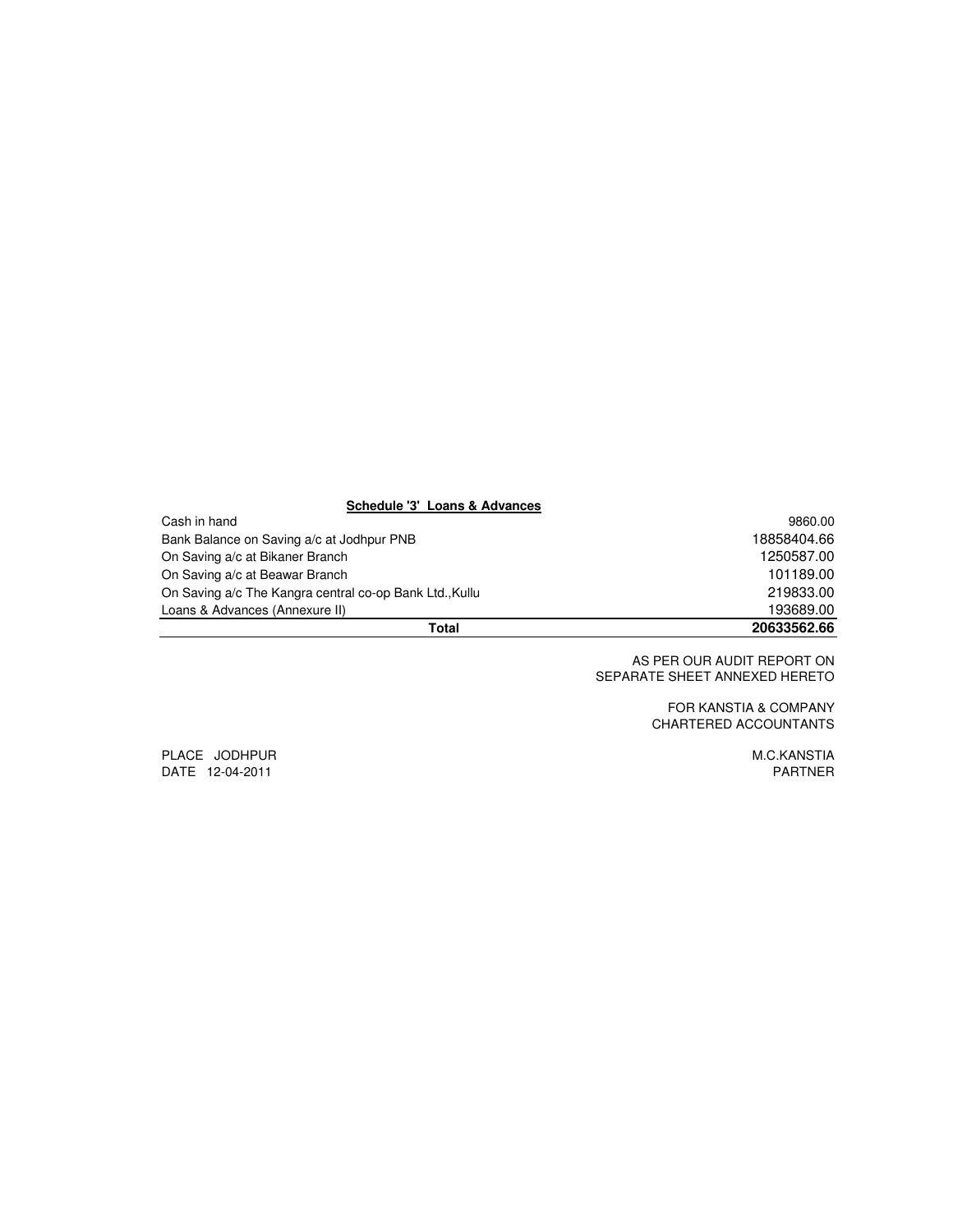#### **Schedule '3' Loans & Advances**

| Total                                                   | 20633562.66 |
|---------------------------------------------------------|-------------|
| Loans & Advances (Annexure II)                          | 193689.00   |
| On Saving a/c The Kangra central co-op Bank Ltd., Kullu | 219833.00   |
| On Saving a/c at Beawar Branch                          | 101189.00   |
| On Saving a/c at Bikaner Branch                         | 1250587.00  |
| Bank Balance on Saving a/c at Jodhpur PNB               | 18858404.66 |
| Cash in hand                                            | 9860.00     |

 AS PER OUR AUDIT REPORT ON SEPARATE SHEET ANNEXED HERETO

> FOR KANSTIA & COMPANY CHARTERED ACCOUNTANTS

PLACE JODHPUR MEROPHOR MEDICAL SERVICES OF THE SERVICES OF THE SERVICES OF THE MEROPHORE SERVICES OF THE SERVICES DATE 12-04-2011 PARTNER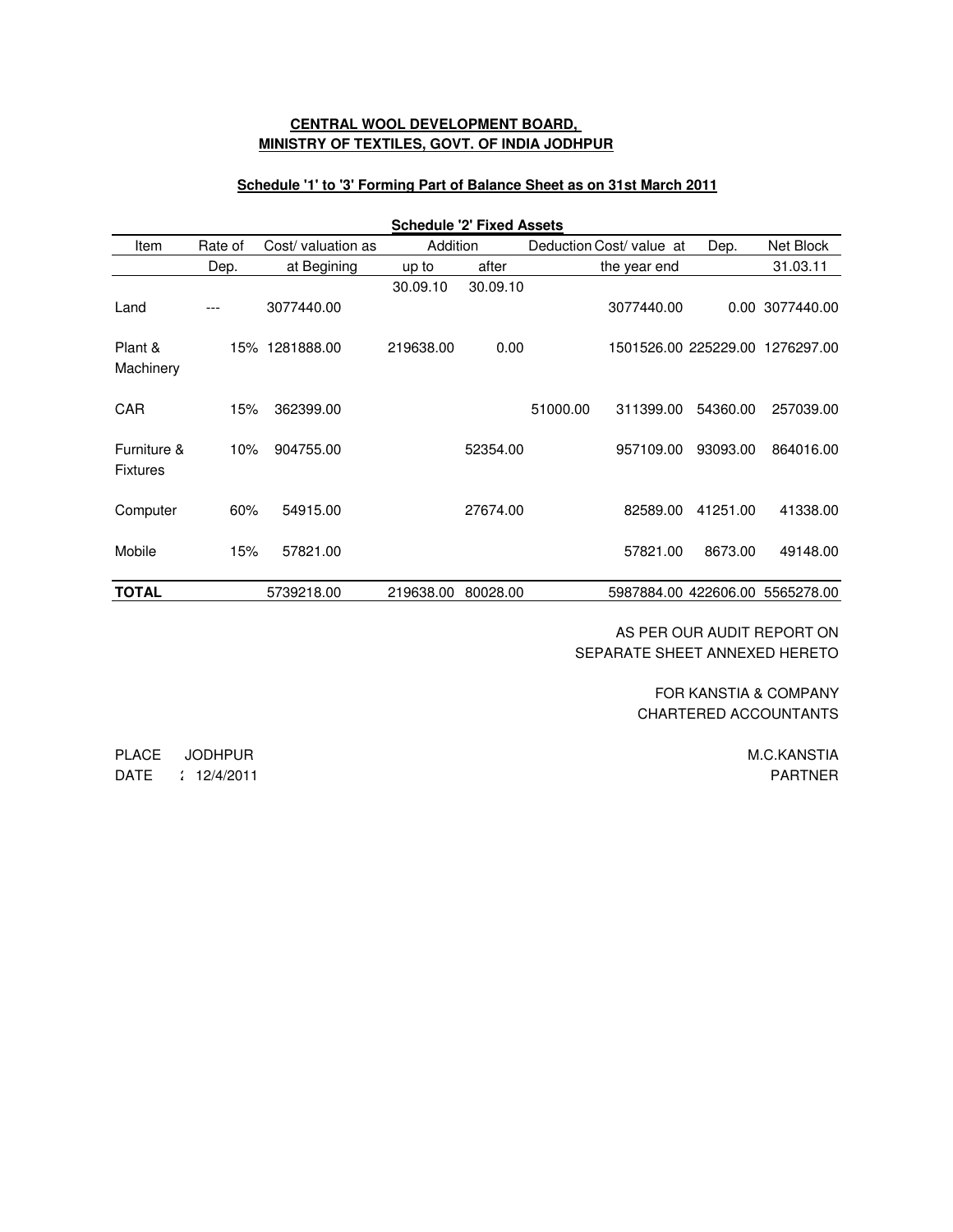## **CENTRAL WOOL DEVELOPMENT BOARD, MINISTRY OF TEXTILES, GOVT. OF INDIA JODHPUR**

#### **Schedule '1' to '3' Forming Part of Balance Sheet as on 31st March 2011**

| <b>Schedule '2' Fixed Assets</b> |         |                   |           |          |          |                          |          |                                 |
|----------------------------------|---------|-------------------|-----------|----------|----------|--------------------------|----------|---------------------------------|
| Item                             | Rate of | Cost/valuation as | Addition  |          |          | Deduction Cost/ value at | Dep.     | Net Block                       |
|                                  | Dep.    | at Begining       | up to     | after    |          | the year end             |          | 31.03.11                        |
| Land                             |         | 3077440.00        | 30.09.10  | 30.09.10 |          | 3077440.00               |          | 0.00 3077440.00                 |
| Plant &<br>Machinery             |         | 15% 1281888.00    | 219638.00 | 0.00     |          |                          |          | 1501526.00 225229.00 1276297.00 |
| <b>CAR</b>                       | 15%     | 362399.00         |           |          | 51000.00 | 311399.00                | 54360.00 | 257039.00                       |
| Furniture &<br><b>Fixtures</b>   | 10%     | 904755.00         |           | 52354.00 |          | 957109.00                | 93093.00 | 864016.00                       |
| Computer                         | 60%     | 54915.00          |           | 27674.00 |          | 82589.00                 | 41251.00 | 41338.00                        |
| Mobile                           | 15%     | 57821.00          |           |          |          | 57821.00                 | 8673.00  | 49148.00                        |
| <b>TOTAL</b>                     |         | 5739218.00        | 219638.00 | 80028.00 |          | 5987884.00 422606.00     |          | 5565278.00                      |
|                                  |         |                   |           |          |          |                          |          |                                 |

AS PER OUR AUDIT REPORT ON SEPARATE SHEET ANNEXED HERETO

> CHARTERED ACCOUNTANTS FOR KANSTIA & COMPANY

> > M.C.KANSTIA PARTNER

PLACE JODHPUR DATE : 12/4/2011